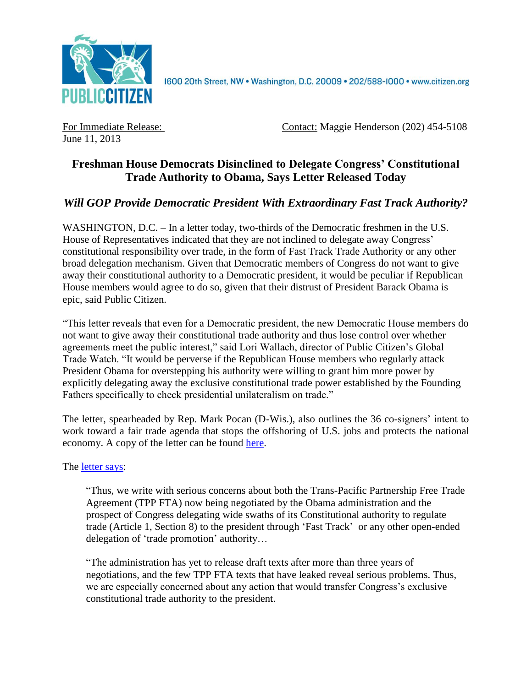

1600 20th Street, NW . Washington, D.C. 20009 . 202/588-1000 . www.citizen.org

June 11, 2013

For Immediate Release: Contact: Maggie Henderson (202) 454-5108

## **Freshman House Democrats Disinclined to Delegate Congress' Constitutional Trade Authority to Obama, Says Letter Released Today**

## *Will GOP Provide Democratic President With Extraordinary Fast Track Authority?*

WASHINGTON, D.C. – In a letter today, two-thirds of the Democratic freshmen in the U.S. House of Representatives indicated that they are not inclined to delegate away Congress' constitutional responsibility over trade, in the form of Fast Track Trade Authority or any other broad delegation mechanism. Given that Democratic members of Congress do not want to give away their constitutional authority to a Democratic president, it would be peculiar if Republican House members would agree to do so, given that their distrust of President Barack Obama is epic, said Public Citizen.

"This letter reveals that even for a Democratic president, the new Democratic House members do not want to give away their constitutional trade authority and thus lose control over whether agreements meet the public interest," said Lori Wallach, director of Public Citizen's Global Trade Watch. "It would be perverse if the Republican House members who regularly attack President Obama for overstepping his authority were willing to grant him more power by explicitly delegating away the exclusive constitutional trade power established by the Founding Fathers specifically to check presidential unilateralism on trade."

The letter, spearheaded by Rep. Mark Pocan (D-Wis.), also outlines the 36 co-signers' intent to work toward a fair trade agenda that stops the offshoring of U.S. jobs and protects the national economy. A copy of the letter can be found [here.](http://www.citizen.org/documents/TPPLetter.pdf)

The [letter](http://www.citizen.org/documents/TPPLetter.pdf) says:

"Thus, we write with serious concerns about both the Trans-Pacific Partnership Free Trade Agreement (TPP FTA) now being negotiated by the Obama administration and the prospect of Congress delegating wide swaths of its Constitutional authority to regulate trade (Article 1, Section 8) to the president through 'Fast Track' or any other open-ended delegation of 'trade promotion' authority…

"The administration has yet to release draft texts after more than three years of negotiations, and the few TPP FTA texts that have leaked reveal serious problems. Thus, we are especially concerned about any action that would transfer Congress's exclusive constitutional trade authority to the president.